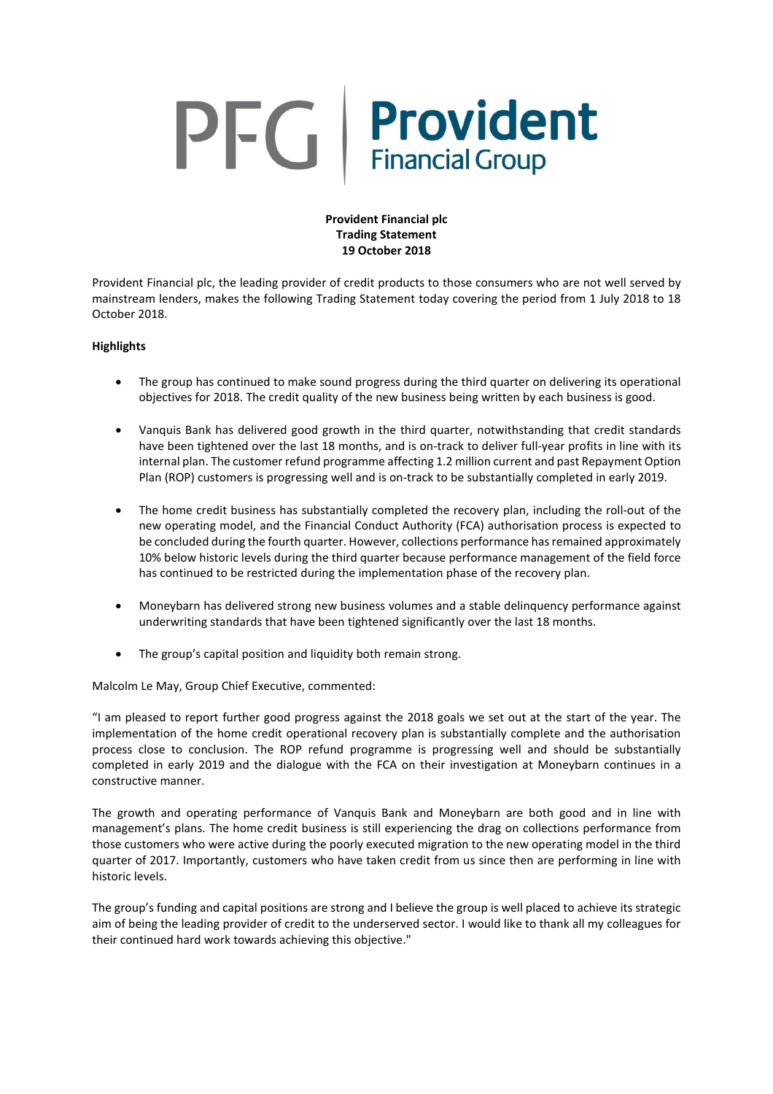# PFG Provident

# **Provident Financial plc Trading Statement 19 October 2018**

Provident Financial plc, the leading provider of credit products to those consumers who are not well served by mainstream lenders, makes the following Trading Statement today covering the period from 1 July 2018 to 18 October 2018.

# **Highlights**

- The group has continued to make sound progress during the third quarter on delivering its operational objectives for 2018. The credit quality of the new business being written by each business is good.
- Vanquis Bank has delivered good growth in the third quarter, notwithstanding that credit standards have been tightened over the last 18 months, and is on-track to deliver full-year profits in line with its internal plan. The customer refund programme affecting 1.2 million current and past Repayment Option Plan (ROP) customers is progressing well and is on-track to be substantially completed in early 2019.
- The home credit business has substantially completed the recovery plan, including the roll-out of the new operating model, and the Financial Conduct Authority (FCA) authorisation process is expected to be concluded during the fourth quarter. However, collections performance hasremained approximately 10% below historic levels during the third quarter because performance management of the field force has continued to be restricted during the implementation phase of the recovery plan.
- Moneybarn has delivered strong new business volumes and a stable delinquency performance against underwriting standards that have been tightened significantly over the last 18 months.
- The group's capital position and liquidity both remain strong.

Malcolm Le May, Group Chief Executive, commented:

"I am pleased to report further good progress against the 2018 goals we set out at the start of the year. The implementation of the home credit operational recovery plan is substantially complete and the authorisation process close to conclusion. The ROP refund programme is progressing well and should be substantially completed in early 2019 and the dialogue with the FCA on their investigation at Moneybarn continues in a constructive manner.

The growth and operating performance of Vanquis Bank and Moneybarn are both good and in line with management's plans. The home credit business is still experiencing the drag on collections performance from those customers who were active during the poorly executed migration to the new operating model in the third quarter of 2017. Importantly, customers who have taken credit from us since then are performing in line with historic levels.

The group's funding and capital positions are strong and I believe the group is well placed to achieve its strategic aim of being the leading provider of credit to the underserved sector. I would like to thank all my colleagues for their continued hard work towards achieving this objective."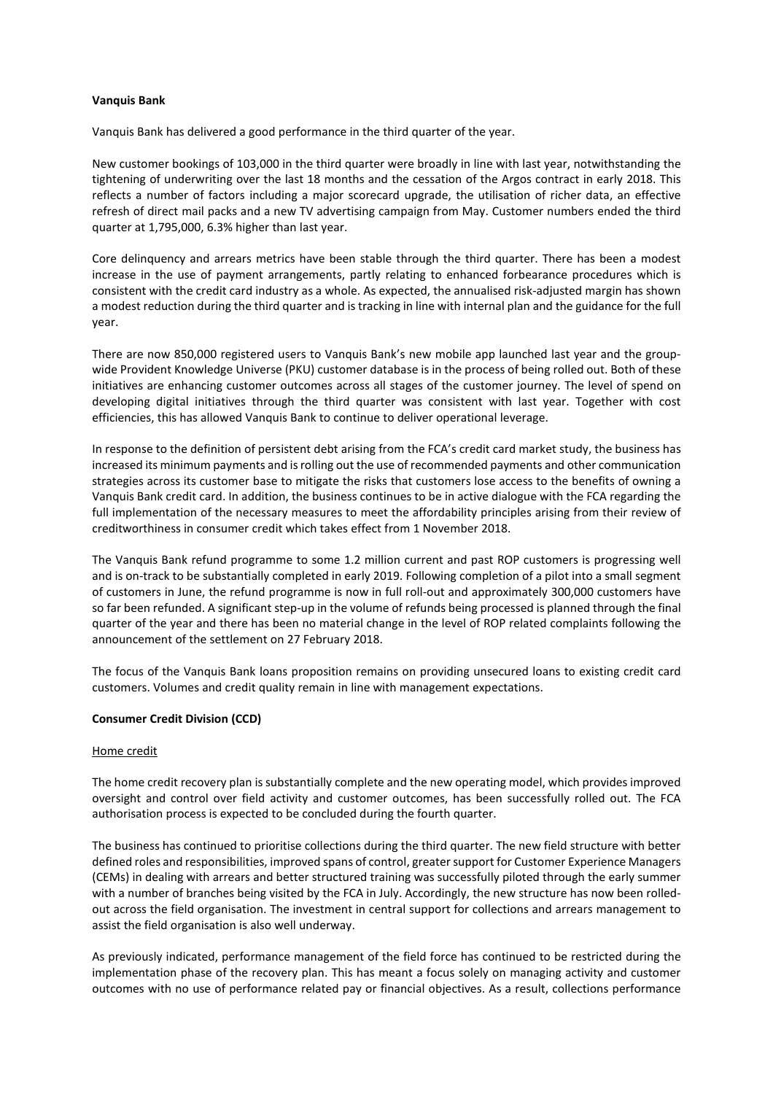## **Vanquis Bank**

Vanquis Bank has delivered a good performance in the third quarter of the year.

New customer bookings of 103,000 in the third quarter were broadly in line with last year, notwithstanding the tightening of underwriting over the last 18 months and the cessation of the Argos contract in early 2018. This reflects a number of factors including a major scorecard upgrade, the utilisation of richer data, an effective refresh of direct mail packs and a new TV advertising campaign from May. Customer numbers ended the third quarter at 1,795,000, 6.3% higher than last year.

Core delinquency and arrears metrics have been stable through the third quarter. There has been a modest increase in the use of payment arrangements, partly relating to enhanced forbearance procedures which is consistent with the credit card industry as a whole. As expected, the annualised risk-adjusted margin has shown a modest reduction during the third quarter and is tracking in line with internal plan and the guidance for the full year.

There are now 850,000 registered users to Vanquis Bank's new mobile app launched last year and the groupwide Provident Knowledge Universe (PKU) customer database is in the process of being rolled out. Both of these initiatives are enhancing customer outcomes across all stages of the customer journey. The level of spend on developing digital initiatives through the third quarter was consistent with last year. Together with cost efficiencies, this has allowed Vanquis Bank to continue to deliver operational leverage.

In response to the definition of persistent debt arising from the FCA's credit card market study, the business has increased its minimum payments and isrolling out the use of recommended payments and other communication strategies across its customer base to mitigate the risks that customers lose access to the benefits of owning a Vanquis Bank credit card. In addition, the business continues to be in active dialogue with the FCA regarding the full implementation of the necessary measures to meet the affordability principles arising from their review of creditworthiness in consumer credit which takes effect from 1 November 2018.

The Vanquis Bank refund programme to some 1.2 million current and past ROP customers is progressing well and is on-track to be substantially completed in early 2019. Following completion of a pilot into a small segment of customers in June, the refund programme is now in full roll-out and approximately 300,000 customers have so far been refunded. A significant step-up in the volume of refunds being processed is planned through the final quarter of the year and there has been no material change in the level of ROP related complaints following the announcement of the settlement on 27 February 2018.

The focus of the Vanquis Bank loans proposition remains on providing unsecured loans to existing credit card customers. Volumes and credit quality remain in line with management expectations.

## **Consumer Credit Division (CCD)**

## Home credit

The home credit recovery plan is substantially complete and the new operating model, which provides improved oversight and control over field activity and customer outcomes, has been successfully rolled out. The FCA authorisation process is expected to be concluded during the fourth quarter.

The business has continued to prioritise collections during the third quarter. The new field structure with better defined roles and responsibilities, improved spans of control, greater support for Customer Experience Managers (CEMs) in dealing with arrears and better structured training was successfully piloted through the early summer with a number of branches being visited by the FCA in July. Accordingly, the new structure has now been rolledout across the field organisation. The investment in central support for collections and arrears management to assist the field organisation is also well underway.

As previously indicated, performance management of the field force has continued to be restricted during the implementation phase of the recovery plan. This has meant a focus solely on managing activity and customer outcomes with no use of performance related pay or financial objectives. As a result, collections performance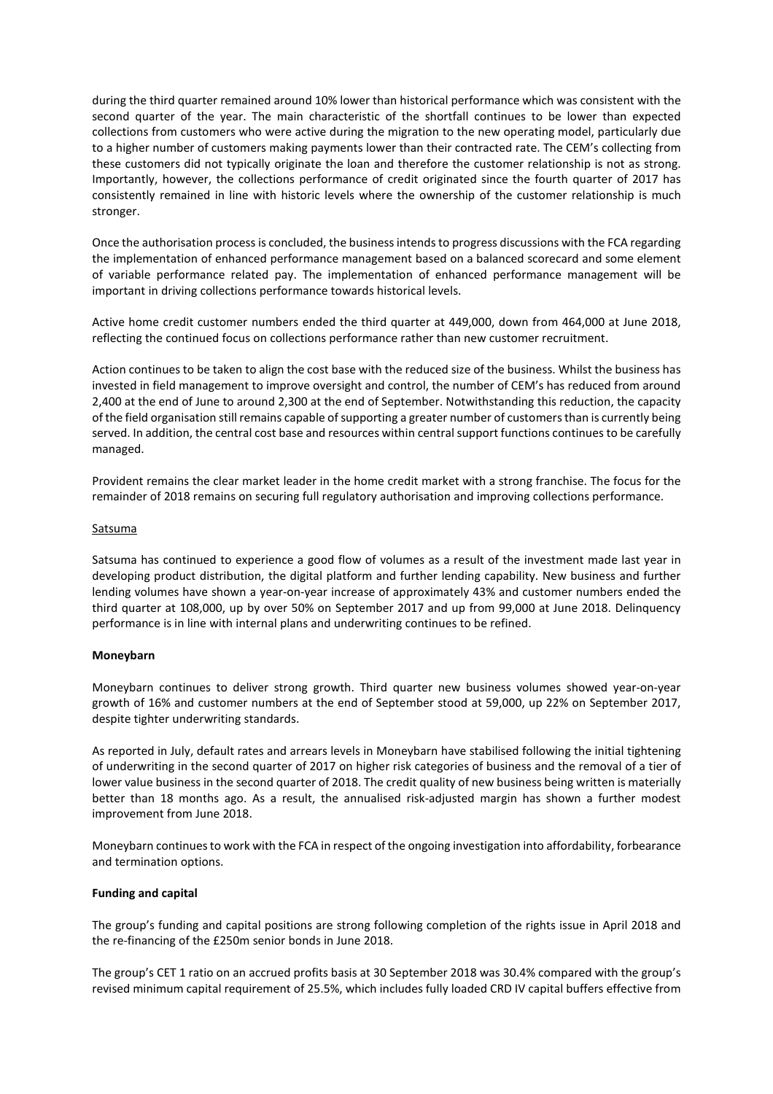during the third quarter remained around 10% lower than historical performance which was consistent with the second quarter of the year. The main characteristic of the shortfall continues to be lower than expected collections from customers who were active during the migration to the new operating model, particularly due to a higher number of customers making payments lower than their contracted rate. The CEM's collecting from these customers did not typically originate the loan and therefore the customer relationship is not as strong. Importantly, however, the collections performance of credit originated since the fourth quarter of 2017 has consistently remained in line with historic levels where the ownership of the customer relationship is much stronger.

Once the authorisation process is concluded, the business intends to progress discussions with the FCA regarding the implementation of enhanced performance management based on a balanced scorecard and some element of variable performance related pay. The implementation of enhanced performance management will be important in driving collections performance towards historical levels.

Active home credit customer numbers ended the third quarter at 449,000, down from 464,000 at June 2018, reflecting the continued focus on collections performance rather than new customer recruitment.

Action continues to be taken to align the cost base with the reduced size of the business. Whilst the business has invested in field management to improve oversight and control, the number of CEM's has reduced from around 2,400 at the end of June to around 2,300 at the end of September. Notwithstanding this reduction, the capacity of the field organisation still remains capable of supporting a greater number of customers than is currently being served. In addition, the central cost base and resources within central support functions continues to be carefully managed.

Provident remains the clear market leader in the home credit market with a strong franchise. The focus for the remainder of 2018 remains on securing full regulatory authorisation and improving collections performance.

## Satsuma

Satsuma has continued to experience a good flow of volumes as a result of the investment made last year in developing product distribution, the digital platform and further lending capability. New business and further lending volumes have shown a year-on-year increase of approximately 43% and customer numbers ended the third quarter at 108,000, up by over 50% on September 2017 and up from 99,000 at June 2018. Delinquency performance is in line with internal plans and underwriting continues to be refined.

## **Moneybarn**

Moneybarn continues to deliver strong growth. Third quarter new business volumes showed year-on-year growth of 16% and customer numbers at the end of September stood at 59,000, up 22% on September 2017, despite tighter underwriting standards.

As reported in July, default rates and arrears levels in Moneybarn have stabilised following the initial tightening of underwriting in the second quarter of 2017 on higher risk categories of business and the removal of a tier of lower value business in the second quarter of 2018. The credit quality of new business being written is materially better than 18 months ago. As a result, the annualised risk-adjusted margin has shown a further modest improvement from June 2018.

Moneybarn continuesto work with the FCA in respect of the ongoing investigation into affordability, forbearance and termination options.

## **Funding and capital**

The group's funding and capital positions are strong following completion of the rights issue in April 2018 and the re-financing of the £250m senior bonds in June 2018.

The group's CET 1 ratio on an accrued profits basis at 30 September 2018 was 30.4% compared with the group's revised minimum capital requirement of 25.5%, which includes fully loaded CRD IV capital buffers effective from